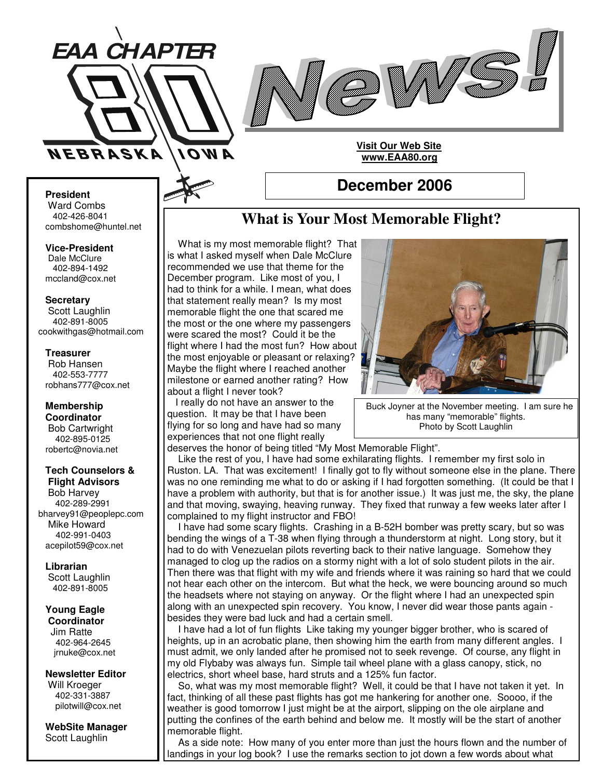



**President**

Ward Combs 402-426-8041 combshome@huntel.net

**Vice-President** Dale McClure 402-894-1492 mccland@cox.net

**Secretary**

Scott Laughlin 402-891-8005 cookwithgas@hotmail.com

#### **Treasurer**

Rob Hansen 402-553-7777 robhans777@cox.net

**Membership Coordinator** Bob Cartwright 402-895-0125 robertc@novia.net

#### **Tech Counselors & Flight Advisors**

Bob Harvey 402-289-2991 bharvey91@peoplepc.com Mike Howard 402-991-0403 acepilot59@cox.net

**Librarian** Scott Laughlin

402-891-8005

#### **Young Eagle Coordinator**

Jim Ratte 402-964-2645 jrnuke@cox.net

**Newsletter Editor** Will Kroeger 402-331-3887 pilotwill@cox.net

**WebSite Manager** Scott Laughlin

# **What is Your Most Memorable Flight?**

**December 2006**

**Visit Our Web Site www.EAA80.org**

What is my most memorable flight? That is what I asked myself when Dale McClure recommended we use that theme for the December program. Like most of you, I had to think for a while. I mean, what does that statement really mean? Is my most memorable flight the one that scared me the most or the one where my passengers were scared the most? Could it be the flight where I had the most fun? How about the most enjoyable or pleasant or relaxing? Maybe the flight where I reached another milestone or earned another rating? How about a flight I never took?

I really do not have an answer to the question. It may be that I have been flying for so long and have had so many experiences that not one flight really



Buck Joyner at the November meeting. I am sure he has many "memorable" flights.

Photo by Scott Laughlin

deserves the honor of being titled "My Most Memorable Flight". Like the rest of you, I have had some exhilarating flights. I remember my first solo in Ruston. LA. That was excitement! I finally got to fly without someone else in the plane. There was no one reminding me what to do or asking if I had forgotten something. (It could be that I have a problem with authority, but that is for another issue.) It was just me, the sky, the plane and that moving, swaying, heaving runway. They fixed that runway a few weeks later after I complained to my flight instructor and FBO!

I have had some scary flights. Crashing in a B-52H bomber was pretty scary, but so was bending the wings of a T-38 when flying through a thunderstorm at night. Long story, but it had to do with Venezuelan pilots reverting back to their native language. Somehow they managed to clog up the radios on a stormy night with a lot of solo student pilots in the air. Then there was that flight with my wife and friends where it was raining so hard that we could not hear each other on the intercom. But what the heck, we were bouncing around so much the headsets where not staying on anyway. Or the flight where I had an unexpected spin along with an unexpected spin recovery. You know, I never did wear those pants again besides they were bad luck and had a certain smell.

I have had a lot of fun flights Like taking my younger bigger brother, who is scared of heights, up in an acrobatic plane, then showing him the earth from many different angles. I must admit, we only landed after he promised not to seek revenge. Of course, any flight in my old Flybaby was always fun. Simple tail wheel plane with a glass canopy, stick, no electrics, short wheel base, hard struts and a 125% fun factor.

So, what was my most memorable flight? Well, it could be that I have not taken it yet. In fact, thinking of all these past flights has got me hankering for another one. Soooo, if the weather is good tomorrow I just might be at the airport, slipping on the ole airplane and putting the confines of the earth behind and below me. It mostly will be the start of another memorable flight.

As a side note: How many of you enter more than just the hours flown and the number of landings in your log book? I use the remarks section to jot down a few words about what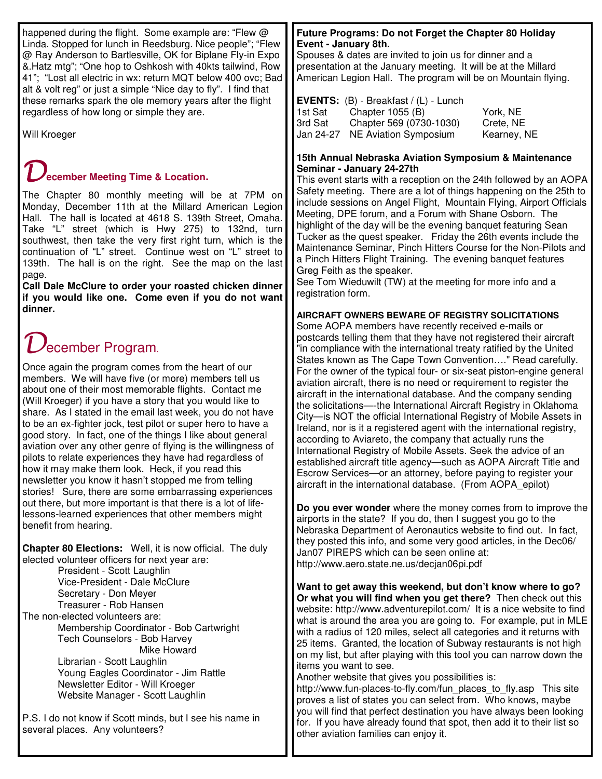happened during the flight. Some example are: "Flew @ Linda. Stopped for lunch in Reedsburg. Nice people"; "Flew @ Ray Anderson to Bartlesville, OK for Biplane Fly-in Expo &.Hatz mtg"; "One hop to Oshkosh with 40kts tailwind, Row 41"; "Lost all electric in wx: return MQT below 400 ovc; Bad alt & volt reg" or just a simple "Nice day to fly". I find that these remarks spark the ole memory years after the flight regardless of how long or simple they are.

Will Kroeger

## **ecember Meeting Time & Location.**

The Chapter 80 monthly meeting will be at 7PM on Monday, December 11th at the Millard American Legion Hall. The hall is located at 4618 S. 139th Street, Omaha. Take "L" street (which is Hwy 275) to 132nd, turn southwest, then take the very first right turn, which is the continuation of "L" street. Continue west on "L" street to 139th. The hall is on the right. See the map on the last page.

**Call Dale McClure to order your roasted chicken dinner if you would like one. Come even if you do not want dinner.**

# ecember Program.

Once again the program comes from the heart of our members. We will have five (or more) members tell us about one of their most memorable flights. Contact me (Will Kroeger) if you have a story that you would like to share. As I stated in the email last week, you do not have to be an ex-fighter jock, test pilot or super hero to have a good story. In fact, one of the things I like about general aviation over any other genre of flying is the willingness of pilots to relate experiences they have had regardless of how it may make them look. Heck, if you read this newsletter you know it hasn't stopped me from telling stories! Sure, there are some embarrassing experiences out there, but more important is that there is a lot of lifelessons-learned experiences that other members might benefit from hearing.

**Chapter 80 Elections:** Well, it is now official. The duly elected volunteer officers for next year are: President - Scott Laughlin Vice-President - Dale McClure Secretary - Don Meyer

Treasurer - Rob Hansen The non-elected volunteers are: Membership Coordinator - Bob Cartwright Tech Counselors - Bob Harvey Mike Howard Librarian - Scott Laughlin Young Eagles Coordinator - Jim Rattle Newsletter Editor - Will Kroeger Website Manager - Scott Laughlin

P.S. I do not know if Scott minds, but I see his name in several places. Any volunteers?

#### **Future Programs: Do not Forget the Chapter 80 Holiday Event - January 8th.**

Spouses & dates are invited to join us for dinner and a presentation at the January meeting. It will be at the Millard American Legion Hall. The program will be on Mountain flying.

|           | <b>EVENTS:</b> $(B)$ - Breakfast $/(L)$ - Lunch |             |
|-----------|-------------------------------------------------|-------------|
| 1st Sat   | Chapter 1055 (B)                                | York, NE    |
| 3rd Sat   | Chapter 569 (0730-1030)                         | Crete, NE   |
| Jan 24-27 | NE Aviation Symposium                           | Kearney, NE |

#### **15th Annual Nebraska Aviation Symposium & Maintenance Seminar - January 24-27th**

This event starts with a reception on the 24th followed by an AOPA Safety meeting. There are a lot of things happening on the 25th to include sessions on Angel Flight, Mountain Flying, Airport Officials Meeting, DPE forum, and a Forum with Shane Osborn. The highlight of the day will be the evening banquet featuring Sean Tucker as the quest speaker. Friday the 26th events include the Maintenance Seminar, Pinch Hitters Course for the Non-Pilots and a Pinch Hitters Flight Training. The evening banquet features Greg Feith as the speaker.

See Tom Wieduwilt (TW) at the meeting for more info and a registration form.

**AIRCRAFT OWNERS BEWARE OF REGISTRY SOLICITATIONS** Some AOPA members have recently received e-mails or postcards telling them that they have not registered their aircraft "in compliance with the international treaty ratified by the United States known as The Cape Town Convention…." Read carefully. For the owner of the typical four- or six-seat piston-engine general aviation aircraft, there is no need or requirement to register the aircraft in the international database. And the company sending the solicitations—-the International Aircraft Registry in Oklahoma City—is NOT the official International Registry of Mobile Assets in Ireland, nor is it a registered agent with the international registry, according to Aviareto, the company that actually runs the International Registry of Mobile Assets. Seek the advice of an established aircraft title agency—such as AOPA Aircraft Title and Escrow Services—or an attorney, before paying to register your aircraft in the international database. (From AOPA\_epilot)

**Do you ever wonder** where the money comes from to improve the airports in the state? If you do, then I suggest you go to the Nebraska Department of Aeronautics website to find out. In fact, they posted this info, and some very good articles, in the Dec06/ Jan07 PIREPS which can be seen online at: http://www.aero.state.ne.us/decjan06pi.pdf

**Want to get away this weekend, but don't know where to go? Or what you will find when you get there?** Then check out this website: http://www.adventurepilot.com/ It is a nice website to find what is around the area you are going to. For example, put in MLE with a radius of 120 miles, select all categories and it returns with 25 items. Granted, the location of Subway restaurants is not high on my list, but after playing with this tool you can narrow down the items you want to see.

Another website that gives you possibilities is:

http://www.fun-places-to-fly.com/fun\_places\_to\_fly.asp This site proves a list of states you can select from. Who knows, maybe you will find that perfect destination you have always been looking for. If you have already found that spot, then add it to their list so other aviation families can enjoy it.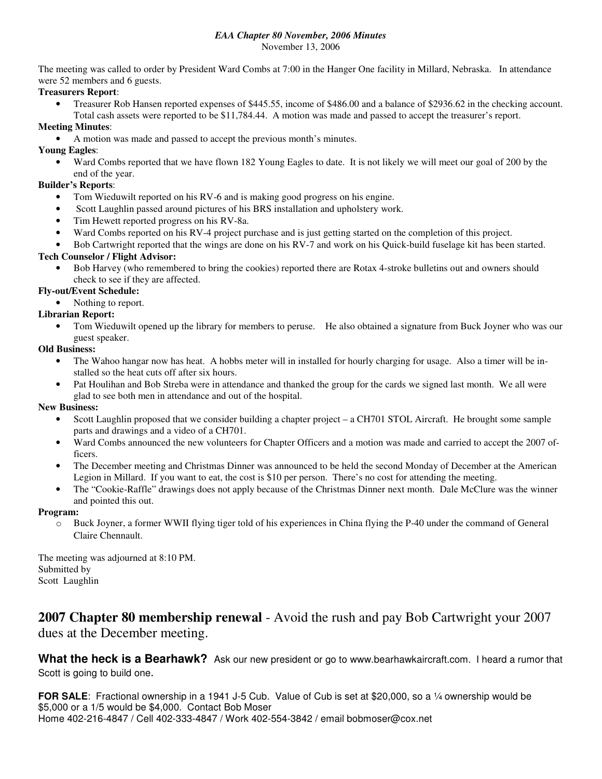## *EAA Chapter 80 November, 2006 Minutes*

November 13, 2006

The meeting was called to order by President Ward Combs at 7:00 in the Hanger One facility in Millard, Nebraska. In attendance were 52 members and 6 guests.

#### **Treasurers Report**:

• Treasurer Rob Hansen reported expenses of \$445.55, income of \$486.00 and a balance of \$2936.62 in the checking account. Total cash assets were reported to be \$11,784.44. A motion was made and passed to accept the treasurer's report.

### **Meeting Minutes**:

• A motion was made and passed to accept the previous month's minutes.

#### **Young Eagles**:

• Ward Combs reported that we have flown 182 Young Eagles to date. It is not likely we will meet our goal of 200 by the end of the year.

#### **Builder's Reports**:

- Tom Wieduwilt reported on his RV-6 and is making good progress on his engine.
- Scott Laughlin passed around pictures of his BRS installation and upholstery work.
- Tim Hewett reported progress on his RV-8a.
- Ward Combs reported on his RV-4 project purchase and is just getting started on the completion of this project.
- Bob Cartwright reported that the wings are done on his RV-7 and work on his Quick-build fuselage kit has been started.

#### **Tech Counselor / Flight Advisor:**

- Bob Harvey (who remembered to bring the cookies) reported there are Rotax 4-stroke bulletins out and owners should check to see if they are affected.
- **Fly-out/Event Schedule:**
	- Nothing to report.

#### **Librarian Report:**

• Tom Wieduwilt opened up the library for members to peruse. He also obtained a signature from Buck Joyner who was our guest speaker.

#### **Old Business:**

- The Wahoo hangar now has heat. A hobbs meter will in installed for hourly charging for usage. Also a timer will be installed so the heat cuts off after six hours.
- Pat Houlihan and Bob Streba were in attendance and thanked the group for the cards we signed last month. We all were glad to see both men in attendance and out of the hospital.

#### **New Business:**

- Scott Laughlin proposed that we consider building a chapter project a CH701 STOL Aircraft. He brought some sample parts and drawings and a video of a CH701.
- Ward Combs announced the new volunteers for Chapter Officers and a motion was made and carried to accept the 2007 officers.
- The December meeting and Christmas Dinner was announced to be held the second Monday of December at the American Legion in Millard. If you want to eat, the cost is \$10 per person. There's no cost for attending the meeting.
- The "Cookie-Raffle" drawings does not apply because of the Christmas Dinner next month. Dale McClure was the winner and pointed this out.

#### **Program:**

o Buck Joyner, a former WWII flying tiger told of his experiences in China flying the P-40 under the command of General Claire Chennault.

The meeting was adjourned at 8:10 PM. Submitted by Scott Laughlin

## **2007 Chapter 80 membership renewal** - Avoid the rush and pay Bob Cartwright your 2007 dues at the December meeting.

**What the heck is a Bearhawk?** Ask our new president or go to www.bearhawkaircraft.com. I heard a rumor that Scott is going to build one.

**FOR SALE**: Fractional ownership in a 1941 J-5 Cub. Value of Cub is set at \$20,000, so a ¼ ownership would be \$5,000 or a 1/5 would be \$4,000. Contact Bob Moser Home 402-216-4847 / Cell 402-333-4847 / Work 402-554-3842 / email bobmoser@cox.net